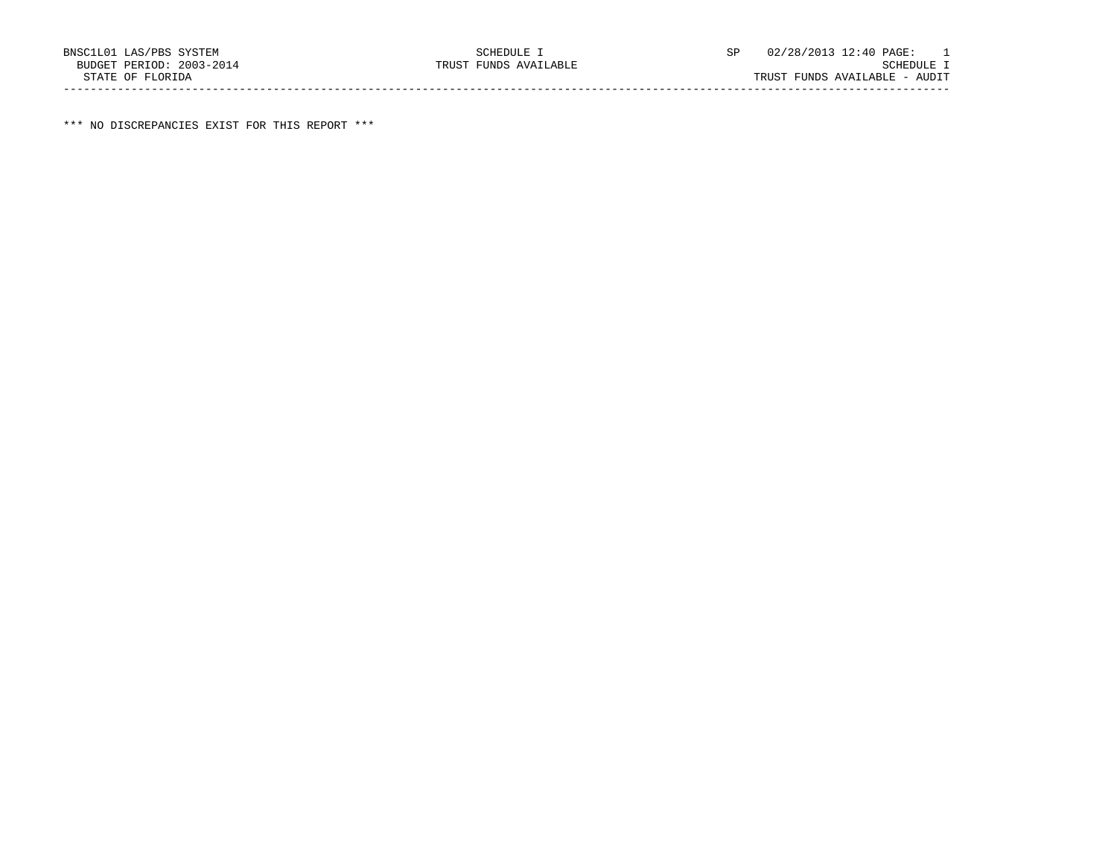\*\*\* NO DISCREPANCIES EXIST FOR THIS REPORT \*\*\*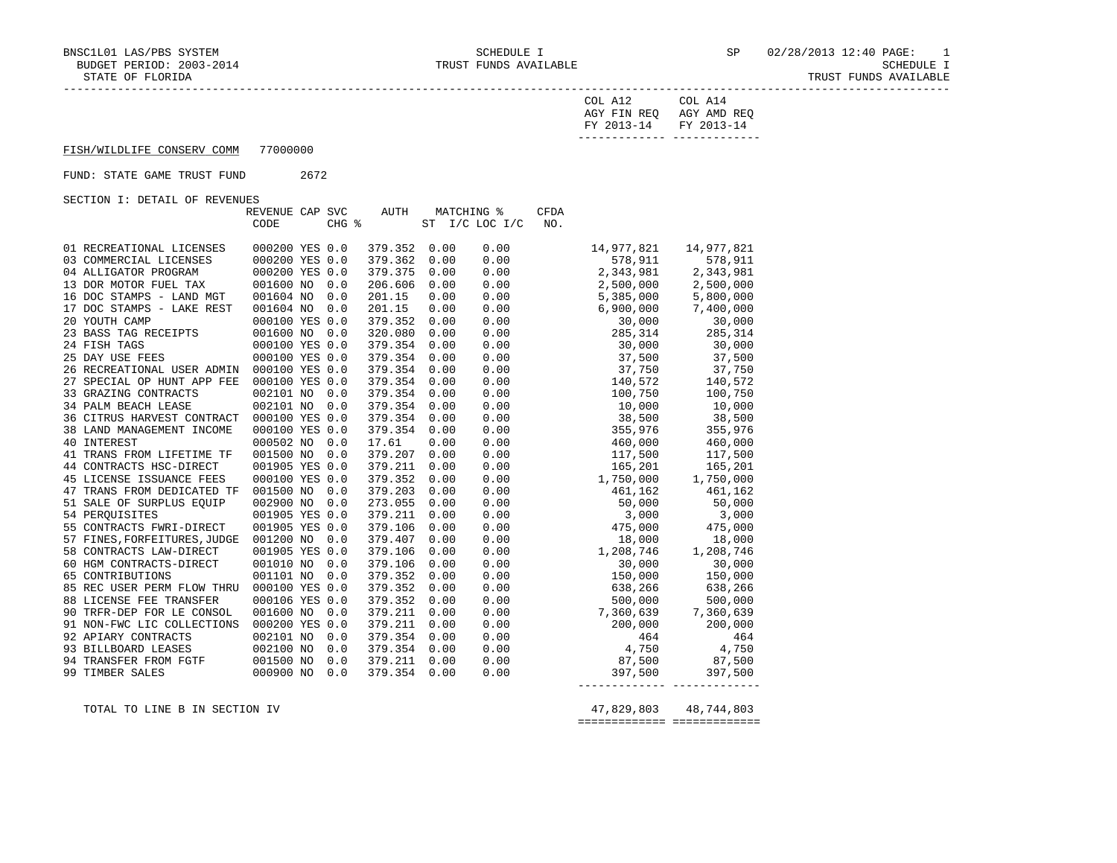TRUST FUNDS AVAILABLE

| $\gamma$ nt.<br>AGY FIN REQ<br>__<br>FY 2013-14 | ി∩⊤<br>AGY AMD REQ<br>FY 2013-14<br>--------- ------------- |
|-------------------------------------------------|-------------------------------------------------------------|
|                                                 |                                                             |

FISH/WILDLIFE CONSERV COMM 77000000

## FUND: STATE GAME TRUST FUND 2672

SECTION I: DETAIL OF REVENUES

|                              | REVENUE CAP SVC |       | AUTH    |      | <b>MATCHING %</b> | <b>CFDA</b> |               |            |
|------------------------------|-----------------|-------|---------|------|-------------------|-------------|---------------|------------|
|                              | CODE            | CHG % |         |      | ST I/C LOC I/C    | NO.         |               |            |
|                              |                 |       |         |      |                   |             |               |            |
| 01 RECREATIONAL LICENSES     | 000200 YES 0.0  |       | 379.352 | 0.00 | 0.00              |             | 14,977,821    | 14,977,821 |
| 03 COMMERCIAL LICENSES       | 000200 YES 0.0  |       | 379.362 | 0.00 | 0.00              |             | 578,911       | 578,911    |
| 04 ALLIGATOR PROGRAM         | 000200 YES 0.0  |       | 379.375 | 0.00 | 0.00              |             | 2,343,981     | 2,343,981  |
| 13 DOR MOTOR FUEL TAX        | 001600 NO       | 0.0   | 206.606 | 0.00 | 0.00              |             | 2,500,000     | 2,500,000  |
| 16 DOC STAMPS - LAND MGT     | 001604 NO       | 0.0   | 201.15  | 0.00 | 0.00              |             | 5,385,000     | 5,800,000  |
| 17 DOC STAMPS - LAKE REST    | 001604 NO       | 0.0   | 201.15  | 0.00 | 0.00              |             | 6,900,000     | 7,400,000  |
| 20 YOUTH CAMP                | 000100 YES 0.0  |       | 379.352 | 0.00 | 0.00              |             | 30,000        | 30,000     |
| 23 BASS TAG RECEIPTS         | 001600 NO 0.0   |       | 320.080 | 0.00 | 0.00              |             | 285,314       | 285,314    |
| 24 FISH TAGS                 | 000100 YES 0.0  |       | 379.354 | 0.00 | 0.00              |             | 30,000        | 30,000     |
| 25 DAY USE FEES              | 000100 YES 0.0  |       | 379.354 | 0.00 | 0.00              |             | 37,500        | 37,500     |
| 26 RECREATIONAL USER ADMIN   | 000100 YES 0.0  |       | 379.354 | 0.00 | 0.00              |             | 37,750 37,750 |            |
| 27 SPECIAL OP HUNT APP FEE   | 000100 YES 0.0  |       | 379.354 | 0.00 | 0.00              |             | 140,572       | 140,572    |
| 33 GRAZING CONTRACTS         | 002101 NO       | 0.0   | 379.354 | 0.00 | 0.00              |             | 100,750       | 100,750    |
| <b>34 PALM BEACH LEASE</b>   | 002101 NO       | 0.0   | 379.354 | 0.00 | 0.00              |             | 10,000        | 10,000     |
| 36 CITRUS HARVEST CONTRACT   | 000100 YES 0.0  |       | 379.354 | 0.00 | 0.00              |             | 38,500        | 38,500     |
| 38 LAND MANAGEMENT INCOME    | 000100 YES 0.0  |       | 379.354 | 0.00 | 0.00              |             | 355,976       | 355,976    |
| 40 INTEREST                  | 000502 NO       | 0.0   | 17.61   | 0.00 | 0.00              |             | 460,000       | 460,000    |
| 41 TRANS FROM LIFETIME TF    | 001500 NO 0.0   |       | 379.207 | 0.00 | 0.00              |             | 117,500       | 117,500    |
| 44 CONTRACTS HSC-DIRECT      | 001905 YES 0.0  |       | 379.211 | 0.00 | 0.00              |             | 165,201       | 165,201    |
| 45 LICENSE ISSUANCE FEES     | 000100 YES 0.0  |       | 379.352 | 0.00 | 0.00              |             | 1,750,000     | 1,750,000  |
| 47 TRANS FROM DEDICATED TF   | 001500 NO       | 0.0   | 379.203 | 0.00 | 0.00              |             | 461,162       | 461,162    |
| 51 SALE OF SURPLUS EOUIP     | 002900 NO       | 0.0   | 273.055 | 0.00 | 0.00              |             | 50,000        | 50,000     |
| 54 PEROUISITES               | 001905 YES 0.0  |       | 379.211 | 0.00 | 0.00              |             | 3,000         | 3,000      |
| 55 CONTRACTS FWRI-DIRECT     | 001905 YES 0.0  |       | 379.106 | 0.00 | 0.00              |             | 475,000       | 475,000    |
| 57 FINES, FORFEITURES, JUDGE | 001200 NO 0.0   |       | 379.407 | 0.00 | 0.00              |             | 18,000        | 18,000     |
| 58 CONTRACTS LAW-DIRECT      | 001905 YES 0.0  |       | 379.106 | 0.00 | 0.00              |             | 1,208,746     | 1,208,746  |
| 60 HGM CONTRACTS-DIRECT      | 001010 NO       | 0.0   | 379.106 | 0.00 | 0.00              |             | 30,000        | 30,000     |
| 65 CONTRIBUTIONS             | 001101 NO       | 0.0   | 379.352 | 0.00 | 0.00              |             | 150,000       | 150,000    |
| 85 REC USER PERM FLOW THRU   | 000100 YES 0.0  |       | 379.352 | 0.00 | 0.00              |             | 638,266       | 638,266    |
| 88 LICENSE FEE TRANSFER      | 000106 YES 0.0  |       | 379.352 | 0.00 | 0.00              |             | 500,000       | 500,000    |
| 90 TRFR-DEP FOR LE CONSOL    | 001600 NO 0.0   |       | 379.211 | 0.00 | 0.00              |             | 7,360,639     | 7,360,639  |
| 91 NON-FWC LIC COLLECTIONS   | 000200 YES 0.0  |       | 379.211 | 0.00 | 0.00              |             | 200,000       | 200,000    |
| 92 APIARY CONTRACTS          | 002101 NO       | 0.0   | 379.354 | 0.00 | 0.00              |             | 464           | 464        |
| 93 BILLBOARD LEASES          | 002100 NO       | 0.0   | 379.354 | 0.00 | 0.00              |             | 4,750 4,750   |            |
| 94 TRANSFER FROM FGTF        | 001500 NO       | 0.0   | 379.211 | 0.00 | 0.00              |             | 87,500 87,500 |            |
| 99 TIMBER SALES              | 000900 NO       | 0.0   | 379.354 | 0.00 | 0.00              |             | 397,500       | 397,500    |
|                              |                 |       |         |      |                   |             |               |            |

 TOTAL TO LINE B IN SECTION IV 47,829,803 48,744,803 ============= =============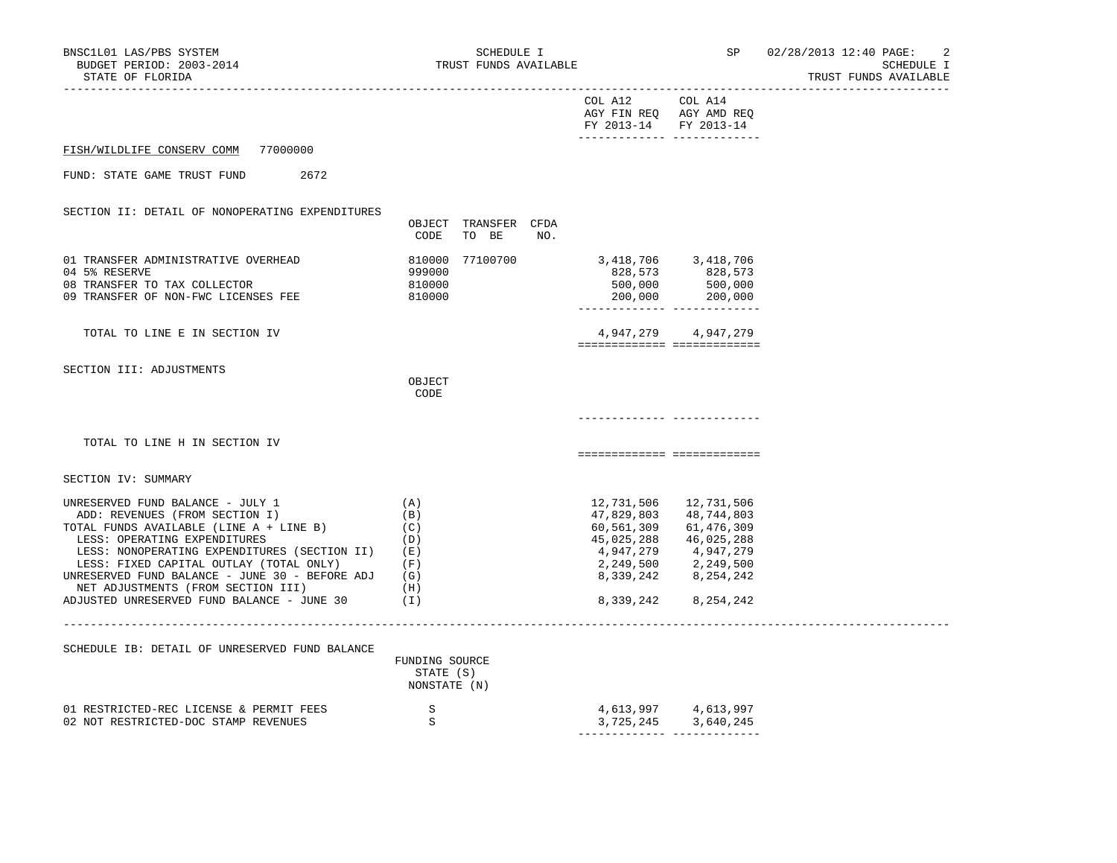| BNSC1L01 LAS/PBS SYSTEM<br>BUDGET PERIOD: 2003-2014<br>STATE OF FLORIDA                                                                                                                                                                                                                                                                                                        | SCHEDULE I<br>TRUST FUNDS AVAILABLE                         |                                                                                                          | SP                                                                                                       | 02/28/2013 12:40 PAGE:<br>2<br>SCHEDULE I<br>TRUST FUNDS AVAILABLE |
|--------------------------------------------------------------------------------------------------------------------------------------------------------------------------------------------------------------------------------------------------------------------------------------------------------------------------------------------------------------------------------|-------------------------------------------------------------|----------------------------------------------------------------------------------------------------------|----------------------------------------------------------------------------------------------------------|--------------------------------------------------------------------|
|                                                                                                                                                                                                                                                                                                                                                                                |                                                             | COL A12<br>FY 2013-14                                                                                    | COL A14<br>AGY FIN REQ AGY AMD REQ<br>FY 2013-14<br>______________ _____________                         |                                                                    |
| 77000000<br>FISH/WILDLIFE CONSERV COMM                                                                                                                                                                                                                                                                                                                                         |                                                             |                                                                                                          |                                                                                                          |                                                                    |
| FUND: STATE GAME TRUST FUND<br>2672                                                                                                                                                                                                                                                                                                                                            |                                                             |                                                                                                          |                                                                                                          |                                                                    |
| SECTION II: DETAIL OF NONOPERATING EXPENDITURES                                                                                                                                                                                                                                                                                                                                | OBJECT TRANSFER CFDA<br>CODE<br>TO BE<br>NO.                |                                                                                                          |                                                                                                          |                                                                    |
| 01 TRANSFER ADMINISTRATIVE OVERHEAD<br>04 5% RESERVE<br>08 TRANSFER TO TAX COLLECTOR<br>09 TRANSFER OF NON-FWC LICENSES FEE                                                                                                                                                                                                                                                    | 810000<br>77100700<br>999000<br>810000<br>810000            | 3,418,706 3,418,706<br>828,573<br>500,000<br>200,000                                                     | 828,573<br>500,000<br>200,000                                                                            |                                                                    |
| TOTAL TO LINE E IN SECTION IV                                                                                                                                                                                                                                                                                                                                                  |                                                             | ============================                                                                             | 4,947,279 4,947,279                                                                                      |                                                                    |
| SECTION III: ADJUSTMENTS                                                                                                                                                                                                                                                                                                                                                       | OBJECT<br>CODE                                              |                                                                                                          |                                                                                                          |                                                                    |
| TOTAL TO LINE H IN SECTION IV                                                                                                                                                                                                                                                                                                                                                  |                                                             |                                                                                                          | ===========================                                                                              |                                                                    |
| SECTION IV: SUMMARY                                                                                                                                                                                                                                                                                                                                                            |                                                             |                                                                                                          |                                                                                                          |                                                                    |
| UNRESERVED FUND BALANCE - JULY 1<br>ADD: REVENUES (FROM SECTION I)<br>TOTAL FUNDS AVAILABLE (LINE A + LINE B)<br>LESS: OPERATING EXPENDITURES<br>LESS: NONOPERATING EXPENDITURES (SECTION II)<br>LESS: FIXED CAPITAL OUTLAY (TOTAL ONLY)<br>UNRESERVED FUND BALANCE - JUNE 30 - BEFORE ADJ<br>NET ADJUSTMENTS (FROM SECTION III)<br>ADJUSTED UNRESERVED FUND BALANCE - JUNE 30 | (A)<br>(B)<br>(C)<br>(D)<br>(E)<br>(F)<br>(G)<br>(H)<br>(1) | 12,731,506<br>47,829,803<br>60,561,309<br>45,025,288<br>4,947,279<br>2,249,500<br>8,339,242<br>8,339,242 | 12,731,506<br>48,744,803<br>61,476,309<br>46,025,288<br>4,947,279<br>2,249,500<br>8,254,242<br>8,254,242 |                                                                    |
| SCHEDULE IB: DETAIL OF UNRESERVED FUND BALANCE                                                                                                                                                                                                                                                                                                                                 | FUNDING SOURCE<br>STATE (S)<br>NONSTATE (N)                 |                                                                                                          |                                                                                                          |                                                                    |
| 01 RESTRICTED-REC LICENSE & PERMIT FEES<br>02 NOT RESTRICTED-DOC STAMP REVENUES                                                                                                                                                                                                                                                                                                | S<br>S.                                                     | 4,613,997<br>3,725,245                                                                                   | 4,613,997<br>3,640,245                                                                                   |                                                                    |

------------- -------------